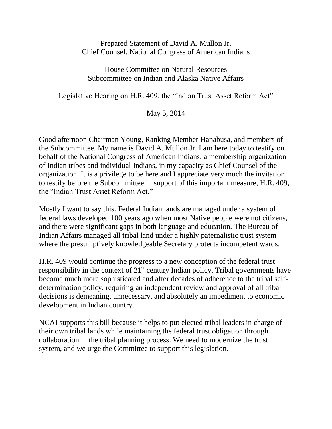Prepared Statement of David A. Mullon Jr. Chief Counsel, National Congress of American Indians

House Committee on Natural Resources Subcommittee on Indian and Alaska Native Affairs

Legislative Hearing on H.R. 409, the "Indian Trust Asset Reform Act"

May 5, 2014

Good afternoon Chairman Young, Ranking Member Hanabusa, and members of the Subcommittee. My name is David A. Mullon Jr. I am here today to testify on behalf of the National Congress of American Indians, a membership organization of Indian tribes and individual Indians, in my capacity as Chief Counsel of the organization. It is a privilege to be here and I appreciate very much the invitation to testify before the Subcommittee in support of this important measure, H.R. 409, the "Indian Trust Asset Reform Act."

Mostly I want to say this. Federal Indian lands are managed under a system of federal laws developed 100 years ago when most Native people were not citizens, and there were significant gaps in both language and education. The Bureau of Indian Affairs managed all tribal land under a highly paternalistic trust system where the presumptively knowledgeable Secretary protects incompetent wards.

H.R. 409 would continue the progress to a new conception of the federal trust responsibility in the context of  $21<sup>st</sup>$  century Indian policy. Tribal governments have become much more sophisticated and after decades of adherence to the tribal selfdetermination policy, requiring an independent review and approval of all tribal decisions is demeaning, unnecessary, and absolutely an impediment to economic development in Indian country.

NCAI supports this bill because it helps to put elected tribal leaders in charge of their own tribal lands while maintaining the federal trust obligation through collaboration in the tribal planning process. We need to modernize the trust system, and we urge the Committee to support this legislation.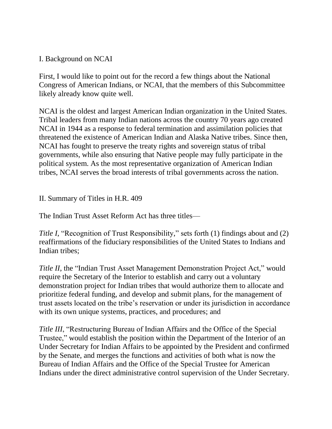## I. Background on NCAI

First, I would like to point out for the record a few things about the National Congress of American Indians, or NCAI, that the members of this Subcommittee likely already know quite well.

NCAI is the oldest and largest American Indian organization in the United States. Tribal leaders from many Indian nations across the country 70 years ago created NCAI in 1944 as a response to federal termination and assimilation policies that threatened the existence of American Indian and Alaska Native tribes. Since then, NCAI has fought to preserve the treaty rights and sovereign status of tribal governments, while also ensuring that Native people may fully participate in the political system. As the most representative organization of American Indian tribes, NCAI serves the broad interests of tribal governments across the nation.

II. Summary of Titles in H.R. 409

The Indian Trust Asset Reform Act has three titles—

*Title I*, "Recognition of Trust Responsibility," sets forth (1) findings about and (2) reaffirmations of the fiduciary responsibilities of the United States to Indians and Indian tribes;

*Title II*, the "Indian Trust Asset Management Demonstration Project Act," would require the Secretary of the Interior to establish and carry out a voluntary demonstration project for Indian tribes that would authorize them to allocate and prioritize federal funding, and develop and submit plans, for the management of trust assets located on the tribe's reservation or under its jurisdiction in accordance with its own unique systems, practices, and procedures; and

*Title III*, "Restructuring Bureau of Indian Affairs and the Office of the Special Trustee," would establish the position within the Department of the Interior of an Under Secretary for Indian Affairs to be appointed by the President and confirmed by the Senate, and merges the functions and activities of both what is now the Bureau of Indian Affairs and the Office of the Special Trustee for American Indians under the direct administrative control supervision of the Under Secretary.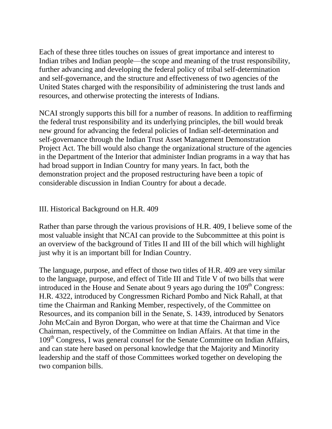Each of these three titles touches on issues of great importance and interest to Indian tribes and Indian people—the scope and meaning of the trust responsibility, further advancing and developing the federal policy of tribal self-determination and self-governance, and the structure and effectiveness of two agencies of the United States charged with the responsibility of administering the trust lands and resources, and otherwise protecting the interests of Indians.

NCAI strongly supports this bill for a number of reasons. In addition to reaffirming the federal trust responsibility and its underlying principles, the bill would break new ground for advancing the federal policies of Indian self-determination and self-governance through the Indian Trust Asset Management Demonstration Project Act. The bill would also change the organizational structure of the agencies in the Department of the Interior that administer Indian programs in a way that has had broad support in Indian Country for many years. In fact, both the demonstration project and the proposed restructuring have been a topic of considerable discussion in Indian Country for about a decade.

## III. Historical Background on H.R. 409

Rather than parse through the various provisions of H.R. 409, I believe some of the most valuable insight that NCAI can provide to the Subcommittee at this point is an overview of the background of Titles II and III of the bill which will highlight just why it is an important bill for Indian Country.

The language, purpose, and effect of those two titles of H.R. 409 are very similar to the language, purpose, and effect of Title III and Title V of two bills that were introduced in the House and Senate about 9 years ago during the  $109<sup>th</sup>$  Congress: H.R. 4322, introduced by Congressmen Richard Pombo and Nick Rahall, at that time the Chairman and Ranking Member, respectively, of the Committee on Resources, and its companion bill in the Senate, S. 1439, introduced by Senators John McCain and Byron Dorgan, who were at that time the Chairman and Vice Chairman, respectively, of the Committee on Indian Affairs. At that time in the 109<sup>th</sup> Congress, I was general counsel for the Senate Committee on Indian Affairs, and can state here based on personal knowledge that the Majority and Minority leadership and the staff of those Committees worked together on developing the two companion bills.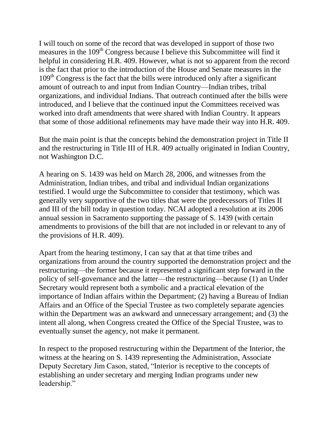I will touch on some of the record that was developed in support of those two measures in the 109<sup>th</sup> Congress because I believe this Subcommittee will find it helpful in considering H.R. 409. However, what is not so apparent from the record is the fact that prior to the introduction of the House and Senate measures in the 109<sup>th</sup> Congress is the fact that the bills were introduced only after a significant amount of outreach to and input from Indian Country—Indian tribes, tribal organizations, and individual Indians. That outreach continued after the bills were introduced, and I believe that the continued input the Committees received was worked into draft amendments that were shared with Indian Country. It appears that some of those additional refinements may have made their way into H.R. 409.

But the main point is that the concepts behind the demonstration project in Title II and the restructuring in Title III of H.R. 409 actually originated in Indian Country, not Washington D.C.

A hearing on S. 1439 was held on March 28, 2006, and witnesses from the Administration, Indian tribes, and tribal and individual Indian organizations testified. I would urge the Subcommittee to consider that testimony, which was generally very supportive of the two titles that were the predecessors of Titles II and III of the bill today in question today. NCAI adopted a resolution at its 2006 annual session in Sacramento supporting the passage of S. 1439 (with certain amendments to provisions of the bill that are not included in or relevant to any of the provisions of H.R. 409).

Apart from the hearing testimony, I can say that at that time tribes and organizations from around the country supported the demonstration project and the restructuring—the former because it represented a significant step forward in the policy of self-governance and the latter—the restructuring—because (1) an Under Secretary would represent both a symbolic and a practical elevation of the importance of Indian affairs within the Department; (2) having a Bureau of Indian Affairs and an Office of the Special Trustee as two completely separate agencies within the Department was an awkward and unnecessary arrangement; and (3) the intent all along, when Congress created the Office of the Special Trustee, was to eventually sunset the agency, not make it permanent.

In respect to the proposed restructuring within the Department of the Interior, the witness at the hearing on S. 1439 representing the Administration, Associate Deputy Secretary Jim Cason, stated, "Interior is receptive to the concepts of establishing an under secretary and merging Indian programs under new leadership."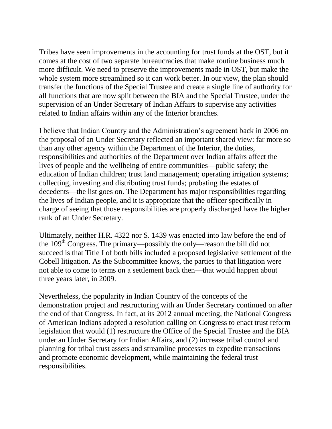Tribes have seen improvements in the accounting for trust funds at the OST, but it comes at the cost of two separate bureaucracies that make routine business much more difficult. We need to preserve the improvements made in OST, but make the whole system more streamlined so it can work better. In our view, the plan should transfer the functions of the Special Trustee and create a single line of authority for all functions that are now split between the BIA and the Special Trustee, under the supervision of an Under Secretary of Indian Affairs to supervise any activities related to Indian affairs within any of the Interior branches.

I believe that Indian Country and the Administration's agreement back in 2006 on the proposal of an Under Secretary reflected an important shared view: far more so than any other agency within the Department of the Interior, the duties, responsibilities and authorities of the Department over Indian affairs affect the lives of people and the wellbeing of entire communities—public safety; the education of Indian children; trust land management; operating irrigation systems; collecting, investing and distributing trust funds; probating the estates of decedents—the list goes on. The Department has major responsibilities regarding the lives of Indian people, and it is appropriate that the officer specifically in charge of seeing that those responsibilities are properly discharged have the higher rank of an Under Secretary.

Ultimately, neither H.R. 4322 nor S. 1439 was enacted into law before the end of the  $109<sup>th</sup>$  Congress. The primary—possibly the only—reason the bill did not succeed is that Title I of both bills included a proposed legislative settlement of the Cobell litigation. As the Subcommittee knows, the parties to that litigation were not able to come to terms on a settlement back then—that would happen about three years later, in 2009.

Nevertheless, the popularity in Indian Country of the concepts of the demonstration project and restructuring with an Under Secretary continued on after the end of that Congress. In fact, at its 2012 annual meeting, the National Congress of American Indians adopted a resolution calling on Congress to enact trust reform legislation that would (1) restructure the Office of the Special Trustee and the BIA under an Under Secretary for Indian Affairs, and (2) increase tribal control and planning for tribal trust assets and streamline processes to expedite transactions and promote economic development, while maintaining the federal trust responsibilities.